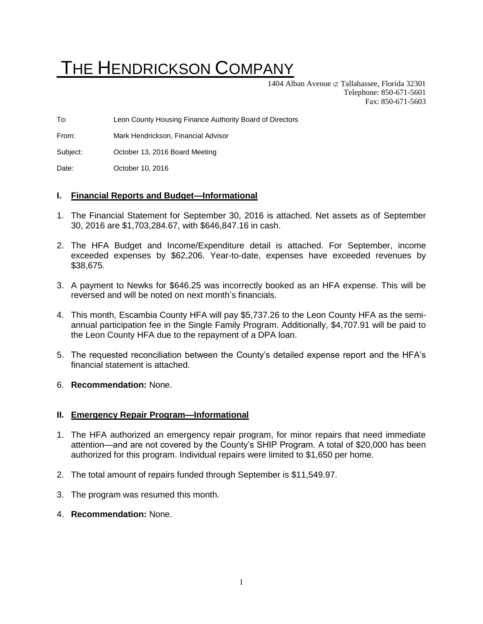# THE HENDRICKSON COMPANY

1404 Alban Avenue  $\subset \mathcal{I}$  Tallahassee, Florida 32301 Telephone: 850-671-5601 Fax: 850-671-5603

To: Leon County Housing Finance Authority Board of Directors

From: Mark Hendrickson, Financial Advisor

Subject: October 13, 2016 Board Meeting

Date: **October 10, 2016** 

#### **I. Financial Reports and Budget—Informational**

- 1. The Financial Statement for September 30, 2016 is attached. Net assets as of September 30, 2016 are \$1,703,284.67, with \$646,847.16 in cash.
- 2. The HFA Budget and Income/Expenditure detail is attached. For September, income exceeded expenses by \$62,206. Year-to-date, expenses have exceeded revenues by \$38,675.
- 3. A payment to Newks for \$646.25 was incorrectly booked as an HFA expense. This will be reversed and will be noted on next month's financials.
- 4. This month, Escambia County HFA will pay \$5,737.26 to the Leon County HFA as the semiannual participation fee in the Single Family Program. Additionally, \$4,707.91 will be paid to the Leon County HFA due to the repayment of a DPA loan.
- 5. The requested reconciliation between the County's detailed expense report and the HFA's financial statement is attached.
- 6. **Recommendation:** None.

#### **II. Emergency Repair Program—Informational**

- 1. The HFA authorized an emergency repair program, for minor repairs that need immediate attention—and are not covered by the County's SHIP Program. A total of \$20,000 has been authorized for this program. Individual repairs were limited to \$1,650 per home.
- 2. The total amount of repairs funded through September is \$11,549.97.
- 3. The program was resumed this month.
- 4. **Recommendation:** None.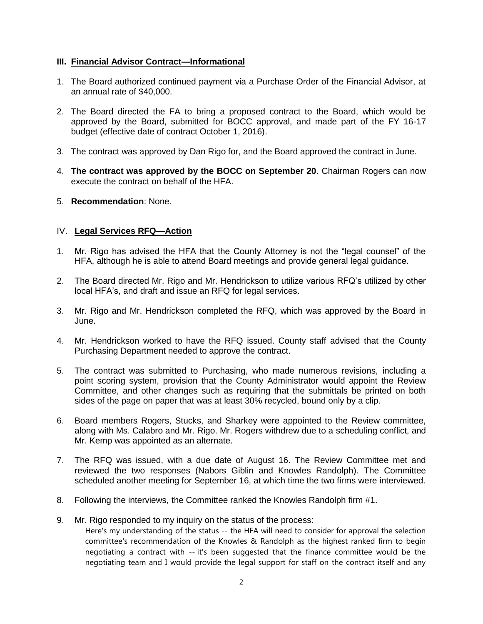#### **III. Financial Advisor Contract—Informational**

- 1. The Board authorized continued payment via a Purchase Order of the Financial Advisor, at an annual rate of \$40,000.
- 2. The Board directed the FA to bring a proposed contract to the Board, which would be approved by the Board, submitted for BOCC approval, and made part of the FY 16-17 budget (effective date of contract October 1, 2016).
- 3. The contract was approved by Dan Rigo for, and the Board approved the contract in June.
- 4. **The contract was approved by the BOCC on September 20**. Chairman Rogers can now execute the contract on behalf of the HFA.
- 5. **Recommendation**: None.

## IV. **Legal Services RFQ—Action**

- 1. Mr. Rigo has advised the HFA that the County Attorney is not the "legal counsel" of the HFA, although he is able to attend Board meetings and provide general legal guidance.
- 2. The Board directed Mr. Rigo and Mr. Hendrickson to utilize various RFQ's utilized by other local HFA's, and draft and issue an RFQ for legal services.
- 3. Mr. Rigo and Mr. Hendrickson completed the RFQ, which was approved by the Board in June.
- 4. Mr. Hendrickson worked to have the RFQ issued. County staff advised that the County Purchasing Department needed to approve the contract.
- 5. The contract was submitted to Purchasing, who made numerous revisions, including a point scoring system, provision that the County Administrator would appoint the Review Committee, and other changes such as requiring that the submittals be printed on both sides of the page on paper that was at least 30% recycled, bound only by a clip.
- 6. Board members Rogers, Stucks, and Sharkey were appointed to the Review committee, along with Ms. Calabro and Mr. Rigo. Mr. Rogers withdrew due to a scheduling conflict, and Mr. Kemp was appointed as an alternate.
- 7. The RFQ was issued, with a due date of August 16. The Review Committee met and reviewed the two responses (Nabors Giblin and Knowles Randolph). The Committee scheduled another meeting for September 16, at which time the two firms were interviewed.
- 8. Following the interviews, the Committee ranked the Knowles Randolph firm #1.
- 9. Mr. Rigo responded to my inquiry on the status of the process: Here's my understanding of the status -- the HFA will need to consider for approval the selection committee's recommendation of the Knowles & Randolph as the highest ranked firm to begin negotiating a contract with -- it's been suggested that the finance committee would be the negotiating team and I would provide the legal support for staff on the contract itself and any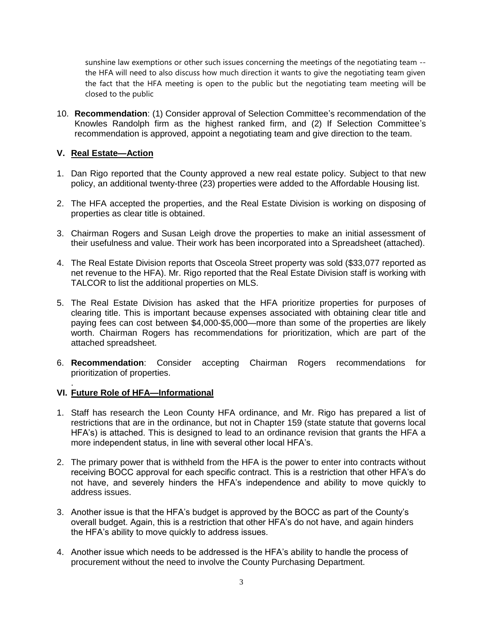sunshine law exemptions or other such issues concerning the meetings of the negotiating team - the HFA will need to also discuss how much direction it wants to give the negotiating team given the fact that the HFA meeting is open to the public but the negotiating team meeting will be closed to the public

10. **Recommendation**: (1) Consider approval of Selection Committee's recommendation of the Knowles Randolph firm as the highest ranked firm, and (2) If Selection Committee's recommendation is approved, appoint a negotiating team and give direction to the team.

## **V. Real Estate—Action**

- 1. Dan Rigo reported that the County approved a new real estate policy. Subject to that new policy, an additional twenty-three (23) properties were added to the Affordable Housing list.
- 2. The HFA accepted the properties, and the Real Estate Division is working on disposing of properties as clear title is obtained.
- 3. Chairman Rogers and Susan Leigh drove the properties to make an initial assessment of their usefulness and value. Their work has been incorporated into a Spreadsheet (attached).
- 4. The Real Estate Division reports that Osceola Street property was sold (\$33,077 reported as net revenue to the HFA). Mr. Rigo reported that the Real Estate Division staff is working with TALCOR to list the additional properties on MLS.
- 5. The Real Estate Division has asked that the HFA prioritize properties for purposes of clearing title. This is important because expenses associated with obtaining clear title and paying fees can cost between \$4,000-\$5,000—more than some of the properties are likely worth. Chairman Rogers has recommendations for prioritization, which are part of the attached spreadsheet.
- 6. **Recommendation**: Consider accepting Chairman Rogers recommendations for prioritization of properties.

#### **VI. Future Role of HFA—Informational**

.

- 1. Staff has research the Leon County HFA ordinance, and Mr. Rigo has prepared a list of restrictions that are in the ordinance, but not in Chapter 159 (state statute that governs local HFA's) is attached. This is designed to lead to an ordinance revision that grants the HFA a more independent status, in line with several other local HFA's.
- 2. The primary power that is withheld from the HFA is the power to enter into contracts without receiving BOCC approval for each specific contract. This is a restriction that other HFA's do not have, and severely hinders the HFA's independence and ability to move quickly to address issues.
- 3. Another issue is that the HFA's budget is approved by the BOCC as part of the County's overall budget. Again, this is a restriction that other HFA's do not have, and again hinders the HFA's ability to move quickly to address issues.
- 4. Another issue which needs to be addressed is the HFA's ability to handle the process of procurement without the need to involve the County Purchasing Department.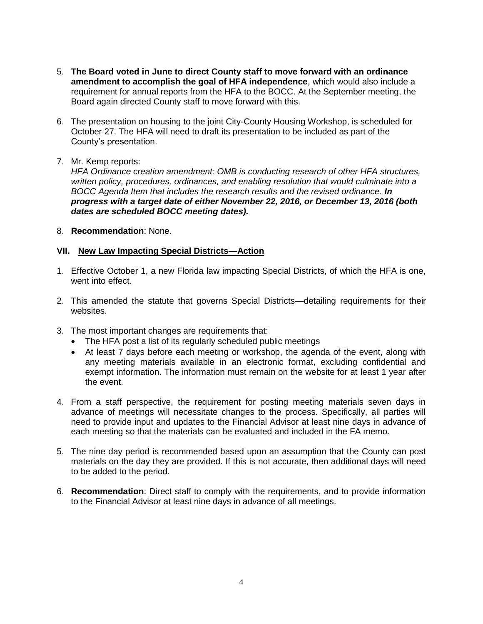- 5. **The Board voted in June to direct County staff to move forward with an ordinance amendment to accomplish the goal of HFA independence**, which would also include a requirement for annual reports from the HFA to the BOCC. At the September meeting, the Board again directed County staff to move forward with this.
- 6. The presentation on housing to the joint City-County Housing Workshop, is scheduled for October 27. The HFA will need to draft its presentation to be included as part of the County's presentation.
- 7. Mr. Kemp reports:

*HFA Ordinance creation amendment: OMB is conducting research of other HFA structures, written policy, procedures, ordinances, and enabling resolution that would culminate into a BOCC Agenda Item that includes the research results and the revised ordinance. In progress with a target date of either November 22, 2016, or December 13, 2016 (both dates are scheduled BOCC meeting dates).*

8. **Recommendation**: None.

## **VII. New Law Impacting Special Districts—Action**

- 1. Effective October 1, a new Florida law impacting Special Districts, of which the HFA is one, went into effect.
- 2. This amended the statute that governs Special Districts—detailing requirements for their websites.
- 3. The most important changes are requirements that:
	- The HFA post a list of its regularly scheduled public meetings
	- At least 7 days before each meeting or workshop, the agenda of the event, along with any meeting materials available in an electronic format, excluding confidential and exempt information. The information must remain on the website for at least 1 year after the event.
- 4. From a staff perspective, the requirement for posting meeting materials seven days in advance of meetings will necessitate changes to the process. Specifically, all parties will need to provide input and updates to the Financial Advisor at least nine days in advance of each meeting so that the materials can be evaluated and included in the FA memo.
- 5. The nine day period is recommended based upon an assumption that the County can post materials on the day they are provided. If this is not accurate, then additional days will need to be added to the period.
- 6. **Recommendation**: Direct staff to comply with the requirements, and to provide information to the Financial Advisor at least nine days in advance of all meetings.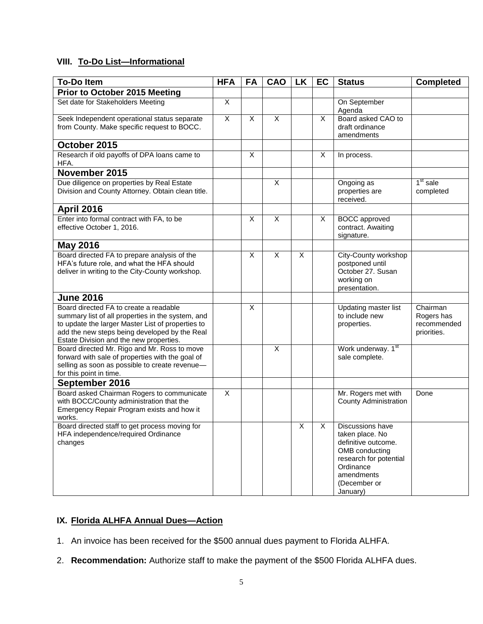# **VIII. To-Do List—Informational**

| <b>To-Do Item</b>                                                                                                                                                                                                                            | <b>HFA</b>     | <b>FA</b> | <b>CAO</b>     | <b>LK</b>      | EC | <b>Status</b>                                                                                                                                                 | <b>Completed</b>                                     |
|----------------------------------------------------------------------------------------------------------------------------------------------------------------------------------------------------------------------------------------------|----------------|-----------|----------------|----------------|----|---------------------------------------------------------------------------------------------------------------------------------------------------------------|------------------------------------------------------|
| <b>Prior to October 2015 Meeting</b>                                                                                                                                                                                                         |                |           |                |                |    |                                                                                                                                                               |                                                      |
| Set date for Stakeholders Meeting                                                                                                                                                                                                            | $\overline{X}$ |           |                |                |    | On September<br>Agenda                                                                                                                                        |                                                      |
| Seek Independent operational status separate<br>from County. Make specific request to BOCC.                                                                                                                                                  | X              | X         | $\overline{X}$ |                | X  | Board asked CAO to<br>draft ordinance<br>amendments                                                                                                           |                                                      |
| October 2015                                                                                                                                                                                                                                 |                |           |                |                |    |                                                                                                                                                               |                                                      |
| Research if old payoffs of DPA loans came to<br>HFA.                                                                                                                                                                                         |                | X         |                |                | X  | In process.                                                                                                                                                   |                                                      |
| November 2015                                                                                                                                                                                                                                |                |           |                |                |    |                                                                                                                                                               |                                                      |
| Due diligence on properties by Real Estate<br>Division and County Attorney. Obtain clean title.                                                                                                                                              |                |           | X              |                |    | Ongoing as<br>properties are<br>received.                                                                                                                     | 1 <sup>st</sup> sale<br>completed                    |
| <b>April 2016</b>                                                                                                                                                                                                                            |                |           |                |                |    |                                                                                                                                                               |                                                      |
| Enter into formal contract with FA, to be<br>effective October 1, 2016.                                                                                                                                                                      |                | X         | $\overline{X}$ |                | X  | <b>BOCC</b> approved<br>contract. Awaiting<br>signature.                                                                                                      |                                                      |
| <b>May 2016</b>                                                                                                                                                                                                                              |                |           |                |                |    |                                                                                                                                                               |                                                      |
| Board directed FA to prepare analysis of the<br>HFA's future role, and what the HFA should<br>deliver in writing to the City-County workshop.                                                                                                |                | X         | $\overline{X}$ | $\pmb{\times}$ |    | City-County workshop<br>postponed until<br>October 27. Susan<br>working on<br>presentation.                                                                   |                                                      |
| <b>June 2016</b>                                                                                                                                                                                                                             |                |           |                |                |    |                                                                                                                                                               |                                                      |
| Board directed FA to create a readable<br>summary list of all properties in the system, and<br>to update the larger Master List of properties to<br>add the new steps being developed by the Real<br>Estate Division and the new properties. |                | X         |                |                |    | Updating master list<br>to include new<br>properties.                                                                                                         | Chairman<br>Rogers has<br>recommended<br>priorities. |
| Board directed Mr. Rigo and Mr. Ross to move<br>forward with sale of properties with the goal of<br>selling as soon as possible to create revenue-<br>for this point in time.                                                                |                |           | X              |                |    | Work underway. 1st<br>sale complete.                                                                                                                          |                                                      |
| September 2016                                                                                                                                                                                                                               |                |           |                |                |    |                                                                                                                                                               |                                                      |
| Board asked Chairman Rogers to communicate<br>with BOCC/County administration that the<br>Emergency Repair Program exists and how it<br>works.                                                                                               | X              |           |                |                |    | Mr. Rogers met with<br><b>County Administration</b>                                                                                                           | Done                                                 |
| Board directed staff to get process moving for<br>HFA independence/required Ordinance<br>changes                                                                                                                                             |                |           |                | X              | X  | Discussions have<br>taken place. No<br>definitive outcome.<br>OMB conducting<br>research for potential<br>Ordinance<br>amendments<br>(December or<br>January) |                                                      |

# **IX. Florida ALHFA Annual Dues—Action**

- 1. An invoice has been received for the \$500 annual dues payment to Florida ALHFA.
- 2. **Recommendation:** Authorize staff to make the payment of the \$500 Florida ALHFA dues.